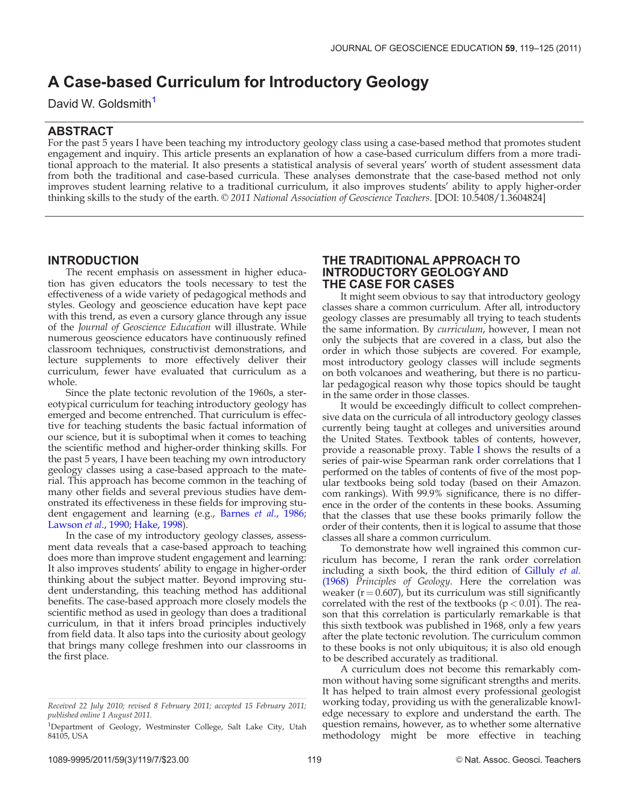# A Case-based Curriculum for Introductory Geology

David W. Goldsmith<sup>1</sup>

# ABSTRACT

For the past 5 years I have been teaching my introductory geology class using a case-based method that promotes student engagement and inquiry. This article presents an explanation of how a case-based curriculum differs from a more traditional approach to the material. It also presents a statistical analysis of several years' worth of student assessment data from both the traditional and case-based curricula. These analyses demonstrate that the case-based method not only improves student learning relative to a traditional curriculum, it also improves students' ability to apply higher-order thinking skills to the study of the earth. © 2011 National Association of Geoscience Teachers. [DOI: 10.5408/1.3604824]

# INTRODUCTION

The recent emphasis on assessment in higher education has given educators the tools necessary to test the effectiveness of a wide variety of pedagogical methods and styles. Geology and geoscience education have kept pace with this trend, as even a cursory glance through any issue of the Journal of Geoscience Education will illustrate. While numerous geoscience educators have continuously refined classroom techniques, constructivist demonstrations, and lecture supplements to more effectively deliver their curriculum, fewer have evaluated that curriculum as a whole.

Since the plate tectonic revolution of the 1960s, a stereotypical curriculum for teaching introductory geology has emerged and become entrenched. That curriculum is effective for teaching students the basic factual information of our science, but it is suboptimal when it comes to teaching the scientific method and higher-order thinking skills. For the past 5 years, I have been teaching my own introductory geology classes using a case-based approach to the material. This approach has become common in the teaching of many other fields and several previous studies have demonstrated its effectiveness in these fields for improving student engagement and learning (e.g., Barnes et al[., 1986](#page-6-0); [Lawson](#page-6-0) et al., 1990; [Hake, 1998\)](#page-6-0).

In the case of my introductory geology classes, assessment data reveals that a case-based approach to teaching does more than improve student engagement and learning: It also improves students' ability to engage in higher-order thinking about the subject matter. Beyond improving student understanding, this teaching method has additional benefits. The case-based approach more closely models the scientific method as used in geology than does a traditional curriculum, in that it infers broad principles inductively from field data. It also taps into the curiosity about geology that brings many college freshmen into our classrooms in the first place.

# THE TRADITIONAL APPROACH TO INTRODUCTORY GEOLOGY AND THE CASE FOR CASES

It might seem obvious to say that introductory geology classes share a common curriculum. After all, introductory geology classes are presumably all trying to teach students the same information. By *curriculum*, however, I mean not only the subjects that are covered in a class, but also the order in which those subjects are covered. For example, most introductory geology classes will include segments on both volcanoes and weathering, but there is no particular pedagogical reason why those topics should be taught in the same order in those classes.

It would be exceedingly difficult to collect comprehensive data on the curricula of all introductory geology classes currently being taught at colleges and universities around the United States. Textbook tables of contents, however, provide a reasonable proxy. Table [I](#page-1-0) shows the results of a series of pair-wise Spearman rank order correlations that I performed on the tables of contents of five of the most popular textbooks being sold today (based on their Amazon. com rankings). With 99.9% significance, there is no difference in the order of the contents in these books. Assuming that the classes that use these books primarily follow the order of their contents, then it is logical to assume that those classes all share a common curriculum.

To demonstrate how well ingrained this common curriculum has become, I reran the rank order correlation including a sixth book, the third edition of [Gilluly](#page-6-0) et al. [\(1968\)](#page-6-0) Principles of Geology. Here the correlation was weaker ( $r = 0.607$ ), but its curriculum was still significantly correlated with the rest of the textbooks ( $p < 0.01$ ). The reason that this correlation is particularly remarkable is that this sixth textbook was published in 1968, only a few years after the plate tectonic revolution. The curriculum common to these books is not only ubiquitous; it is also old enough to be described accurately as traditional.

A curriculum does not become this remarkably common without having some significant strengths and merits. It has helped to train almost every professional geologist working today, providing us with the generalizable knowledge necessary to explore and understand the earth. The question remains, however, as to whether some alternative methodology might be more effective in teaching

Received 22 July 2010; revised 8 February 2011; accepted 15 February 2011; published online 1 August 2011.

<sup>&</sup>lt;sup>1</sup>Department of Geology, Westminster College, Salt Lake City, Utah 84105, USA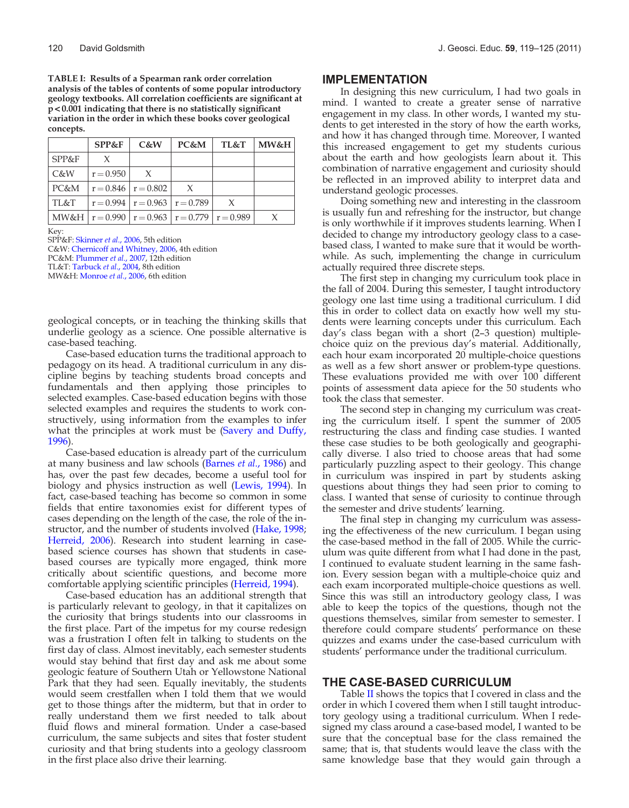<span id="page-1-0"></span>TABLE I: Results of a Spearman rank order correlation analysis of the tables of contents of some popular introductory geology textbooks. All correlation coefficients are significant at p < 0.001 indicating that there is no statistically significant variation in the order in which these books cover geological concepts.

|       | <b>SPP&amp;F</b>                                             | $C$ & $W$                               | PC&M | TL&T | MW&H |
|-------|--------------------------------------------------------------|-----------------------------------------|------|------|------|
| SPP&F | X                                                            |                                         |      |      |      |
| C&W   | $r = 0.950$                                                  | X                                       |      |      |      |
| PC&M  |                                                              | $r = 0.846$   $r = 0.802$               | X    |      |      |
| TL&T  |                                                              | $r = 0.994$   $r = 0.963$   $r = 0.789$ |      | X    |      |
|       | MW&H   $r = 0.990$   $r = 0.963$   $r = 0.779$   $r = 0.989$ |                                         |      |      | X    |

Key:

SPP&F: [Skinner](#page-6-0) et al., 2006, 5th edition

C&W: [Chernicoff and Whitney, 2006,](#page-6-0) 4th edition

PC&M: [Plummer](#page-6-0) et al., 2007, 12th edition

TL&T: [Tarbuck](#page-6-0) et al., 2004, 8th edition

MW&H: [Monroe](#page-6-0) et al., 2006, 6th edition

geological concepts, or in teaching the thinking skills that underlie geology as a science. One possible alternative is case-based teaching.

Case-based education turns the traditional approach to pedagogy on its head. A traditional curriculum in any discipline begins by teaching students broad concepts and fundamentals and then applying those principles to selected examples. Case-based education begins with those selected examples and requires the students to work constructively, using information from the examples to infer what the principles at work must be ([Savery and Duffy,](#page-6-0) [1996](#page-6-0))

Case-based education is already part of the curriculum at many business and law schools ([Barnes](#page-6-0) et al., 1986) and has, over the past few decades, become a useful tool for biology and physics instruction as well ([Lewis, 1994\)](#page-6-0). In fact, case-based teaching has become so common in some fields that entire taxonomies exist for different types of cases depending on the length of the case, the role of the in-structor, and the number of students involved ([Hake, 1998](#page-6-0); [Herreid, 2006\)](#page-6-0). Research into student learning in casebased science courses has shown that students in casebased courses are typically more engaged, think more critically about scientific questions, and become more comfortable applying scientific principles [\(Herreid, 1994\)](#page-6-0).

Case-based education has an additional strength that is particularly relevant to geology, in that it capitalizes on the curiosity that brings students into our classrooms in the first place. Part of the impetus for my course redesign was a frustration I often felt in talking to students on the first day of class. Almost inevitably, each semester students would stay behind that first day and ask me about some geologic feature of Southern Utah or Yellowstone National Park that they had seen. Equally inevitably, the students would seem crestfallen when I told them that we would get to those things after the midterm, but that in order to really understand them we first needed to talk about fluid flows and mineral formation. Under a case-based curriculum, the same subjects and sites that foster student curiosity and that bring students into a geology classroom in the first place also drive their learning.

# IMPLEMENTATION

In designing this new curriculum, I had two goals in mind. I wanted to create a greater sense of narrative engagement in my class. In other words, I wanted my students to get interested in the story of how the earth works, and how it has changed through time. Moreover, I wanted this increased engagement to get my students curious about the earth and how geologists learn about it. This combination of narrative engagement and curiosity should be reflected in an improved ability to interpret data and understand geologic processes.

Doing something new and interesting in the classroom is usually fun and refreshing for the instructor, but change is only worthwhile if it improves students learning. When I decided to change my introductory geology class to a casebased class, I wanted to make sure that it would be worthwhile. As such, implementing the change in curriculum actually required three discrete steps.

The first step in changing my curriculum took place in the fall of 2004. During this semester, I taught introductory geology one last time using a traditional curriculum. I did this in order to collect data on exactly how well my students were learning concepts under this curriculum. Each day's class began with a short (2–3 question) multiplechoice quiz on the previous day's material. Additionally, each hour exam incorporated 20 multiple-choice questions as well as a few short answer or problem-type questions. These evaluations provided me with over 100 different points of assessment data apiece for the 50 students who took the class that semester.

The second step in changing my curriculum was creating the curriculum itself. I spent the summer of 2005 restructuring the class and finding case studies. I wanted these case studies to be both geologically and geographically diverse. I also tried to choose areas that had some particularly puzzling aspect to their geology. This change in curriculum was inspired in part by students asking questions about things they had seen prior to coming to class. I wanted that sense of curiosity to continue through the semester and drive students' learning.

The final step in changing my curriculum was assessing the effectiveness of the new curriculum. I began using the case-based method in the fall of 2005. While the curriculum was quite different from what I had done in the past, I continued to evaluate student learning in the same fashion. Every session began with a multiple-choice quiz and each exam incorporated multiple-choice questions as well. Since this was still an introductory geology class, I was able to keep the topics of the questions, though not the questions themselves, similar from semester to semester. I therefore could compare students' performance on these quizzes and exams under the case-based curriculum with students' performance under the traditional curriculum.

## THE CASE-BASED CURRICULUM

Table [II](#page-2-0) shows the topics that I covered in class and the order in which I covered them when I still taught introductory geology using a traditional curriculum. When I redesigned my class around a case-based model, I wanted to be sure that the conceptual base for the class remained the same; that is, that students would leave the class with the same knowledge base that they would gain through a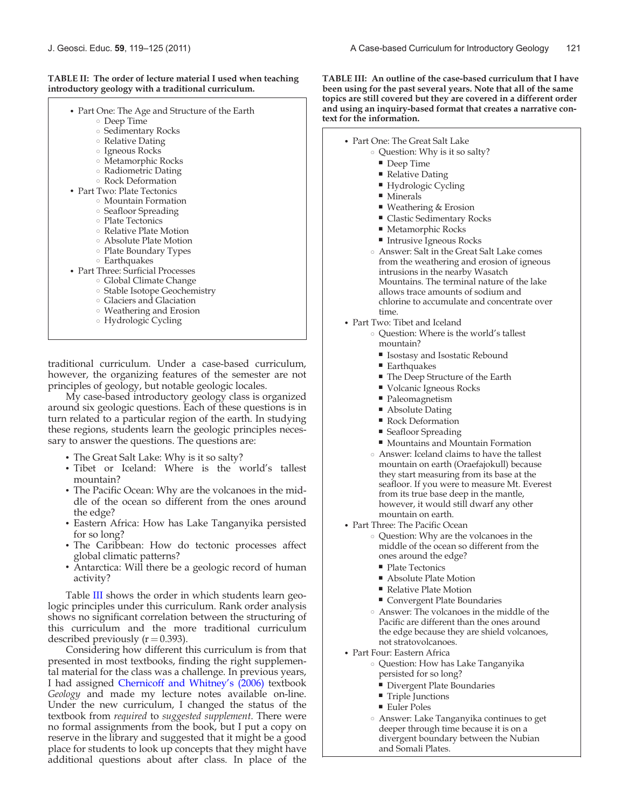#### <span id="page-2-0"></span>TABLE II: The order of lecture material I used when teaching introductory geology with a traditional curriculum.

- Part One: The Age and Structure of the Earth
	- <sup>o</sup> Deep Time
	- <sup>o</sup> Sedimentary Rocks
	- <sup>o</sup> Relative Dating
	- **Designeous Rocks**
	- <sup>o</sup> Metamorphic Rocks
	- Radiometric Dating <sup>o</sup> Rock Deformation
- Part Two: Plate Tectonics
	- <sup>o</sup> Mountain Formation
	- <sup>o</sup> Seafloor Spreading
	- <sup>o</sup> Plate Tectonics
	- <sup>o</sup> Relative Plate Motion
	- <sup>o</sup> Absolute Plate Motion
	- Plate Boundary Types
	- $\circ$  Earthquakes
- Part Three: Surficial Processes
	- <sup>o</sup> Global Climate Change
	- <sup>o</sup> Stable Isotope Geochemistry
	- <sup>o</sup> Glaciers and Glaciation
	- <sup>o</sup> Weathering and Erosion
	- <sup>o</sup> Hydrologic Cycling

traditional curriculum. Under a case-based curriculum, however, the organizing features of the semester are not principles of geology, but notable geologic locales.

My case-based introductory geology class is organized around six geologic questions. Each of these questions is in turn related to a particular region of the earth. In studying these regions, students learn the geologic principles necessary to answer the questions. The questions are:

- The Great Salt Lake: Why is it so salty?
- Tibet or Iceland: Where is the world's tallest mountain?
- The Pacific Ocean: Why are the volcanoes in the middle of the ocean so different from the ones around the edge?
- Eastern Africa: How has Lake Tanganyika persisted for so long?
- The Caribbean: How do tectonic processes affect global climatic patterns?
- Antarctica: Will there be a geologic record of human activity?

Table III shows the order in which students learn geologic principles under this curriculum. Rank order analysis shows no significant correlation between the structuring of this curriculum and the more traditional curriculum described previously ( $r = 0.393$ ).

Considering how different this curriculum is from that presented in most textbooks, finding the right supplemental material for the class was a challenge. In previous years, I had assigned [Chernicoff and Whitney's \(2006\)](#page-6-0) textbook Geology and made my lecture notes available on-line. Under the new curriculum, I changed the status of the textbook from required to suggested supplement. There were no formal assignments from the book, but I put a copy on reserve in the library and suggested that it might be a good place for students to look up concepts that they might have additional questions about after class. In place of the TABLE III: An outline of the case-based curriculum that I have been using for the past several years. Note that all of the same topics are still covered but they are covered in a different order and using an inquiry-based format that creates a narrative context for the information.

- Part One: The Great Salt Lake
	- Question: Why is it so salty?
	- Deep Time
	- Relative Dating
	- Hydrologic Cycling
	- Minerals
	- Weathering & Erosion
	- Clastic Sedimentary Rocks
	- Metamorphic Rocks
	- **n** Intrusive Igneous Rocks
	- $\circ$  Answer: Salt in the Great Salt Lake comes from the weathering and erosion of igneous intrusions in the nearby Wasatch Mountains. The terminal nature of the lake allows trace amounts of sodium and chlorine to accumulate and concentrate over time.
- Part Two: Tibet and Iceland
	- $\circ$  Question: Where is the world's tallest mountain?
		- **Exercise Isostatic Rebound**
		- $\blacksquare$  Earthquakes
		- The Deep Structure of the Earth
		- Volcanic Igneous Rocks
		- Paleomagnetism
	- $\blacksquare$  Absolute Dating
	- Rock Deformation
	- Seafloor Spreading
	- Mountains and Mountain Formation
	- $\circ$  Answer: Iceland claims to have the tallest mountain on earth (Oraefajokull) because they start measuring from its base at the seafloor. If you were to measure Mt. Everest from its true base deep in the mantle, however, it would still dwarf any other mountain on earth.
- Part Three: The Pacific Ocean
	- Question: Why are the volcanoes in the middle of the ocean so different from the ones around the edge?
		- Plate Tectonics
		- Absolute Plate Motion
		- Relative Plate Motion
		- **Exercise Convergent Plate Boundaries**
	- $\circ$  Answer: The volcanoes in the middle of the Pacific are different than the ones around the edge because they are shield volcanoes, not stratovolcanoes.
- Part Four: Eastern Africa
	- <sup>o</sup> Question: How has Lake Tanganyika persisted for so long?
		- **Divergent Plate Boundaries**
		- Triple Junctions
		- Euler Poles
	- $\circ$  Answer: Lake Tanganyika continues to get deeper through time because it is on a divergent boundary between the Nubian and Somali Plates.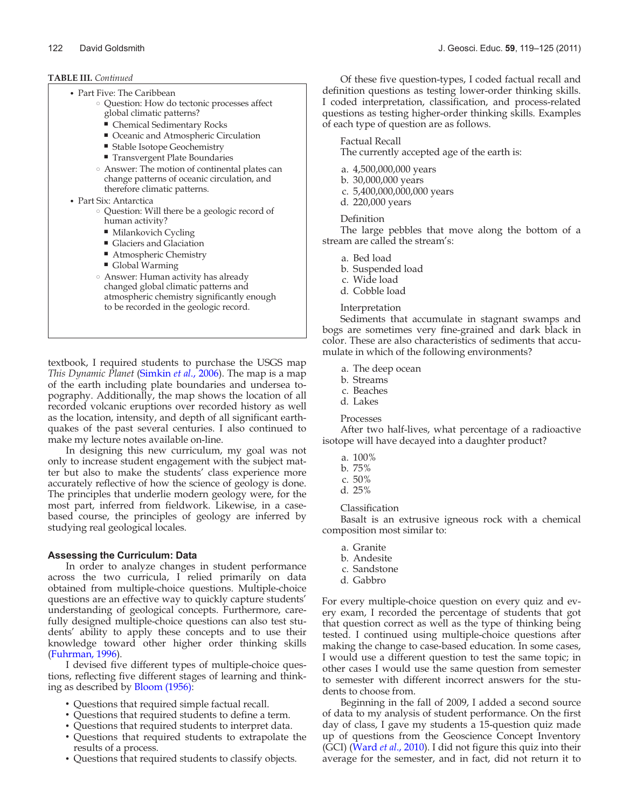## TABLE III. Continued

- Part Five: The Caribbean
	- $\circ$  Question: How do tectonic processes affect global climatic patterns?
		- Chemical Sedimentary Rocks
		- Oceanic and Atmospheric Circulation
		- Stable Isotope Geochemistry
		- Transvergent Plate Boundaries
	- $\circ$  Answer: The motion of continental plates can change patterns of oceanic circulation, and therefore climatic patterns.
- Part Six: Antarctica
	- Question: Will there be a geologic record of human activity?
		- Milankovich Cycling
		- Glaciers and Glaciation
		- Atmospheric Chemistry
		- $\blacksquare$  Global Warming
	- <sup>o</sup> Answer: Human activity has already changed global climatic patterns and atmospheric chemistry significantly enough to be recorded in the geologic record.

textbook, I required students to purchase the USGS map This Dynamic Planet [\(Simkin](#page-6-0) et al., 2006). The map is a map of the earth including plate boundaries and undersea topography. Additionally, the map shows the location of all recorded volcanic eruptions over recorded history as well as the location, intensity, and depth of all significant earthquakes of the past several centuries. I also continued to make my lecture notes available on-line.

In designing this new curriculum, my goal was not only to increase student engagement with the subject matter but also to make the students' class experience more accurately reflective of how the science of geology is done. The principles that underlie modern geology were, for the most part, inferred from fieldwork. Likewise, in a casebased course, the principles of geology are inferred by studying real geological locales.

## Assessing the Curriculum: Data

In order to analyze changes in student performance across the two curricula, I relied primarily on data obtained from multiple-choice questions. Multiple-choice questions are an effective way to quickly capture students' understanding of geological concepts. Furthermore, carefully designed multiple-choice questions can also test students' ability to apply these concepts and to use their knowledge toward other higher order thinking skills [\(Fuhrman, 1996\)](#page-6-0).

I devised five different types of multiple-choice questions, reflecting five different stages of learning and thinking as described by [Bloom \(1956\):](#page-6-0)

- Questions that required simple factual recall.
- Questions that required students to define a term.
- Questions that required students to interpret data.
- Questions that required students to extrapolate the results of a process.
- Questions that required students to classify objects.

Of these five question-types, I coded factual recall and definition questions as testing lower-order thinking skills. I coded interpretation, classification, and process-related questions as testing higher-order thinking skills. Examples of each type of question are as follows.

#### Factual Recall

The currently accepted age of the earth is:

- a. 4,500,000,000 years
- b. 30,000,000 years
- c. 5,400,000,000,000 years
- d. 220,000 years

## Definition

The large pebbles that move along the bottom of a stream are called the stream's:

- a. Bed load
- b. Suspended load
- c. Wide load
- d. Cobble load

#### Interpretation

Sediments that accumulate in stagnant swamps and bogs are sometimes very fine-grained and dark black in color. These are also characteristics of sediments that accumulate in which of the following environments?

- a. The deep ocean
- b. Streams
- c. Beaches
- d. Lakes
- Processes

After two half-lives, what percentage of a radioactive isotope will have decayed into a daughter product?

- a. 100%
- b. 75%
- c. 50%
- d. 25%

## Classification

Basalt is an extrusive igneous rock with a chemical composition most similar to:

- a. Granite
- b. Andesite
- c. Sandstone
- d. Gabbro

For every multiple-choice question on every quiz and every exam, I recorded the percentage of students that got that question correct as well as the type of thinking being tested. I continued using multiple-choice questions after making the change to case-based education. In some cases, I would use a different question to test the same topic; in other cases I would use the same question from semester to semester with different incorrect answers for the students to choose from.

Beginning in the fall of 2009, I added a second source of data to my analysis of student performance. On the first day of class, I gave my students a 15-question quiz made up of questions from the Geoscience Concept Inventory (GCI) (Ward *et al.,* 2010). I did not figure this quiz into their average for the semester, and in fact, did not return it to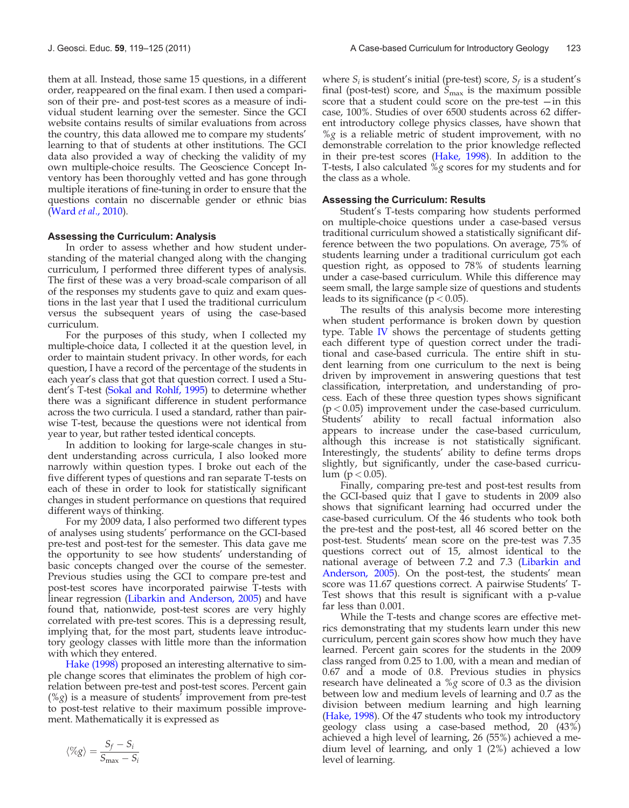vidual student learning over the semester. Since the GCI website contains results of similar evaluations from across the country, this data allowed me to compare my students' learning to that of students at other institutions. The GCI data also provided a way of checking the validity of my own multiple-choice results. The Geoscience Concept Inventory has been thoroughly vetted and has gone through multiple iterations of fine-tuning in order to ensure that the questions contain no discernable gender or ethnic bias (Ward et al[., 2010\)](#page-6-0).

#### Assessing the Curriculum: Analysis

In order to assess whether and how student understanding of the material changed along with the changing curriculum, I performed three different types of analysis. The first of these was a very broad-scale comparison of all of the responses my students gave to quiz and exam questions in the last year that I used the traditional curriculum versus the subsequent years of using the case-based curriculum.

For the purposes of this study, when I collected my multiple-choice data, I collected it at the question level, in order to maintain student privacy. In other words, for each question, I have a record of the percentage of the students in each year's class that got that question correct. I used a Student's T-test ([Sokal and Rohlf, 1995](#page-6-0)) to determine whether there was a significant difference in student performance across the two curricula. I used a standard, rather than pairwise T-test, because the questions were not identical from year to year, but rather tested identical concepts.

In addition to looking for large-scale changes in student understanding across curricula, I also looked more narrowly within question types. I broke out each of the five different types of questions and ran separate T-tests on each of these in order to look for statistically significant changes in student performance on questions that required different ways of thinking.

For my 2009 data, I also performed two different types of analyses using students' performance on the GCI-based pre-test and post-test for the semester. This data gave me the opportunity to see how students' understanding of basic concepts changed over the course of the semester. Previous studies using the GCI to compare pre-test and post-test scores have incorporated pairwise T-tests with linear regression [\(Libarkin and Anderson, 2005\)](#page-6-0) and have found that, nationwide, post-test scores are very highly correlated with pre-test scores. This is a depressing result, implying that, for the most part, students leave introductory geology classes with little more than the information with which they entered.

[Hake \(1998\)](#page-6-0) proposed an interesting alternative to simple change scores that eliminates the problem of high correlation between pre-test and post-test scores. Percent gain  $(\%)$  is a measure of students' improvement from pre-test to post-test relative to their maximum possible improvement. Mathematically it is expressed as

$$
\langle \% g \rangle = \frac{S_f - S_i}{S_{\text{max}} - S_i}
$$

where  $S_i$  is student's initial (pre-test) score,  $S_f$  is a student's final (post-test) score, and  $S_{\text{max}}$  is the maximum possible score that a student could score on the pre-test —in this case, 100%. Studies of over 6500 students across 62 different introductory college physics classes, have shown that  $\%g$  is a reliable metric of student improvement, with no demonstrable correlation to the prior knowledge reflected in their pre-test scores ([Hake, 1998\)](#page-6-0). In addition to the T-tests, I also calculated %g scores for my students and for the class as a whole.

#### Assessing the Curriculum: Results

Student's T-tests comparing how students performed on multiple-choice questions under a case-based versus traditional curriculum showed a statistically significant difference between the two populations. On average, 75% of students learning under a traditional curriculum got each question right, as opposed to 78% of students learning under a case-based curriculum. While this difference may seem small, the large sample size of questions and students leads to its significance ( $p < 0.05$ ).

The results of this analysis become more interesting when student performance is broken down by question type. Table [IV](#page-5-0) shows the percentage of students getting each different type of question correct under the traditional and case-based curricula. The entire shift in student learning from one curriculum to the next is being driven by improvement in answering questions that test classification, interpretation, and understanding of process. Each of these three question types shows significant  $(p < 0.05)$  improvement under the case-based curriculum. Students' ability to recall factual information also appears to increase under the case-based curriculum, although this increase is not statistically significant. Interestingly, the students' ability to define terms drops slightly, but significantly, under the case-based curricu $lum (p < 0.05)$ .

Finally, comparing pre-test and post-test results from the GCI-based quiz that I gave to students in 2009 also shows that significant learning had occurred under the case-based curriculum. Of the 46 students who took both the pre-test and the post-test, all 46 scored better on the post-test. Students' mean score on the pre-test was 7.35 questions correct out of 15, almost identical to the national average of between 7.2 and 7.3 [\(Libarkin and](#page-6-0) [Anderson, 2005\)](#page-6-0). On the post-test, the students' mean score was 11.67 questions correct. A pairwise Students' T-Test shows that this result is significant with a p-value far less than 0.001.

While the T-tests and change scores are effective metrics demonstrating that my students learn under this new curriculum, percent gain scores show how much they have learned. Percent gain scores for the students in the 2009 class ranged from 0.25 to 1.00, with a mean and median of 0.67 and a mode of 0.8. Previous studies in physics research have delineated a %g score of 0.3 as the division between low and medium levels of learning and 0.7 as the division between medium learning and high learning [\(Hake, 1998\)](#page-6-0). Of the 47 students who took my introductory geology class using a case-based method, 20 (43%) achieved a high level of learning, 26 (55%) achieved a medium level of learning, and only 1 (2%) achieved a low level of learning.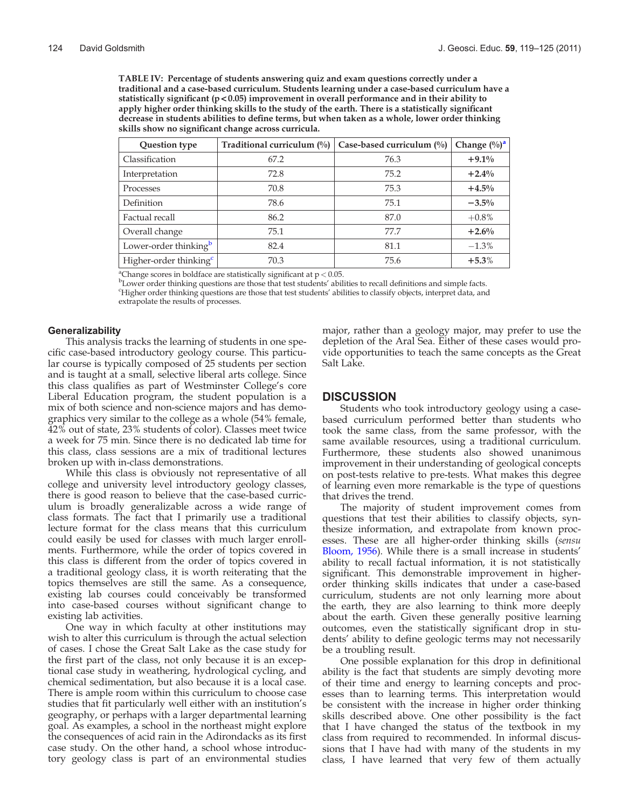<span id="page-5-0"></span>TABLE IV: Percentage of students answering quiz and exam questions correctly under a traditional and a case-based curriculum. Students learning under a case-based curriculum have a statistically significant (p < 0.05) improvement in overall performance and in their ability to apply higher order thinking skills to the study of the earth. There is a statistically significant decrease in students abilities to define terms, but when taken as a whole, lower order thinking skills show no significant change across curricula.

| Question type                      | Traditional curriculum (%) | Case-based curriculum (%) | Change $(\%)^a$ |
|------------------------------------|----------------------------|---------------------------|-----------------|
| Classification                     | 67.2                       | 76.3                      | $+9.1%$         |
| Interpretation                     | 72.8                       | 75.2                      | $+2.4%$         |
| Processes                          | 70.8                       | 75.3                      | $+4.5%$         |
| Definition                         | 78.6                       | 75.1                      | $-3.5%$         |
| Factual recall                     | 86.2                       | 87.0                      | $+0.8\%$        |
| Overall change                     | 75.1                       | 77.7                      | $+2.6%$         |
| Lower-order thinking <sup>b</sup>  | 82.4                       | 81.1                      | $-1.3\%$        |
| Higher-order thinking <sup>c</sup> | 70.3                       | 75.6                      | $+5.3%$         |

<sup>a</sup>Change scores in boldface are statistically significant at  $p < 0.05$ .<br><sup>b</sup>Lower order thinking questions are those that test students' abil

Lower order thinking questions are those that test students' abilities to recall definitions and simple facts. c Higher order thinking questions are those that test students' abilities to classify objects, interpret data, and extrapolate the results of processes.

#### **Generalizability**

This analysis tracks the learning of students in one specific case-based introductory geology course. This particular course is typically composed of 25 students per section and is taught at a small, selective liberal arts college. Since this class qualifies as part of Westminster College's core Liberal Education program, the student population is a mix of both science and non-science majors and has demographics very similar to the college as a whole (54% female, 42% out of state, 23% students of color). Classes meet twice a week for 75 min. Since there is no dedicated lab time for this class, class sessions are a mix of traditional lectures broken up with in-class demonstrations.

While this class is obviously not representative of all college and university level introductory geology classes, there is good reason to believe that the case-based curriculum is broadly generalizable across a wide range of class formats. The fact that I primarily use a traditional lecture format for the class means that this curriculum could easily be used for classes with much larger enrollments. Furthermore, while the order of topics covered in this class is different from the order of topics covered in a traditional geology class, it is worth reiterating that the topics themselves are still the same. As a consequence, existing lab courses could conceivably be transformed into case-based courses without significant change to existing lab activities.

One way in which faculty at other institutions may wish to alter this curriculum is through the actual selection of cases. I chose the Great Salt Lake as the case study for the first part of the class, not only because it is an exceptional case study in weathering, hydrological cycling, and chemical sedimentation, but also because it is a local case. There is ample room within this curriculum to choose case studies that fit particularly well either with an institution's geography, or perhaps with a larger departmental learning goal. As examples, a school in the northeast might explore the consequences of acid rain in the Adirondacks as its first case study. On the other hand, a school whose introductory geology class is part of an environmental studies

major, rather than a geology major, may prefer to use the depletion of the Aral Sea. Either of these cases would provide opportunities to teach the same concepts as the Great Salt Lake.

# **DISCUSSION**

Students who took introductory geology using a casebased curriculum performed better than students who took the same class, from the same professor, with the same available resources, using a traditional curriculum. Furthermore, these students also showed unanimous improvement in their understanding of geological concepts on post-tests relative to pre-tests. What makes this degree of learning even more remarkable is the type of questions that drives the trend.

The majority of student improvement comes from questions that test their abilities to classify objects, synthesize information, and extrapolate from known processes. These are all higher-order thinking skills (sensu [Bloom, 1956\)](#page-6-0). While there is a small increase in students' ability to recall factual information, it is not statistically significant. This demonstrable improvement in higherorder thinking skills indicates that under a case-based curriculum, students are not only learning more about the earth, they are also learning to think more deeply about the earth. Given these generally positive learning outcomes, even the statistically significant drop in students' ability to define geologic terms may not necessarily be a troubling result.

One possible explanation for this drop in definitional ability is the fact that students are simply devoting more of their time and energy to learning concepts and processes than to learning terms. This interpretation would be consistent with the increase in higher order thinking skills described above. One other possibility is the fact that I have changed the status of the textbook in my class from required to recommended. In informal discussions that I have had with many of the students in my class, I have learned that very few of them actually